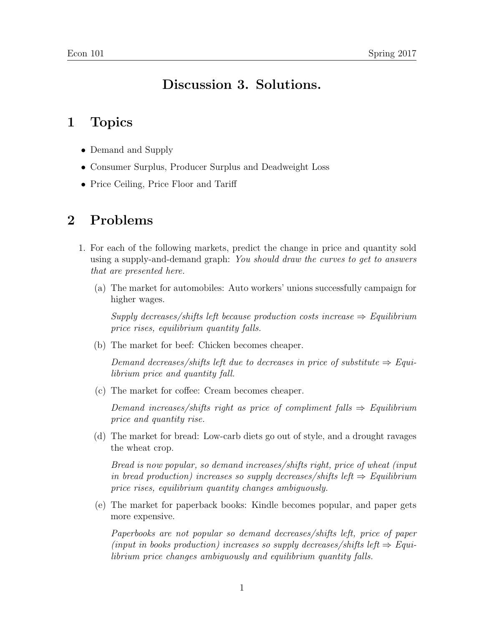## Discussion 3. Solutions.

## 1 Topics

- Demand and Supply
- Consumer Surplus, Producer Surplus and Deadweight Loss
- Price Ceiling, Price Floor and Tariff

## 2 Problems

- 1. For each of the following markets, predict the change in price and quantity sold using a supply-and-demand graph: You should draw the curves to get to answers that are presented here.
	- (a) The market for automobiles: Auto workers' unions successfully campaign for higher wages.

Supply decreases/shifts left because production costs increase  $\Rightarrow$  Equilibrium price rises, equilibrium quantity falls.

(b) The market for beef: Chicken becomes cheaper.

Demand decreases/shifts left due to decreases in price of substitute  $\Rightarrow$  Equilibrium price and quantity fall.

(c) The market for coffee: Cream becomes cheaper.

Demand increases/shifts right as price of compliment falls  $\Rightarrow$  Equilibrium price and quantity rise.

(d) The market for bread: Low-carb diets go out of style, and a drought ravages the wheat crop.

Bread is now popular, so demand increases/shifts right, price of wheat (input in bread production) increases so supply decreases/shifts left  $\Rightarrow$  Equilibrium price rises, equilibrium quantity changes ambiguously.

(e) The market for paperback books: Kindle becomes popular, and paper gets more expensive.

Paperbooks are not popular so demand decreases/shifts left, price of paper (input in books production) increases so supply decreases/shifts left  $\Rightarrow$  Equilibrium price changes ambiguously and equilibrium quantity falls.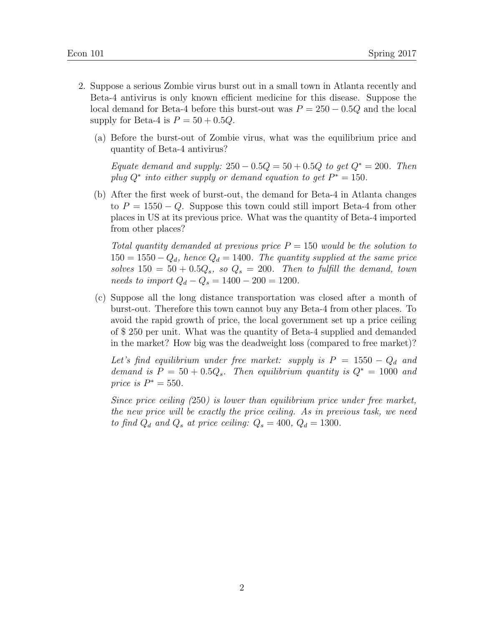- 2. Suppose a serious Zombie virus burst out in a small town in Atlanta recently and Beta-4 antivirus is only known efficient medicine for this disease. Suppose the local demand for Beta-4 before this burst-out was  $P = 250 - 0.5Q$  and the local supply for Beta-4 is  $P = 50 + 0.5Q$ .
	- (a) Before the burst-out of Zombie virus, what was the equilibrium price and quantity of Beta-4 antivirus?

Equate demand and supply:  $250 - 0.5Q = 50 + 0.5Q$  to get  $Q^* = 200$ . Then plug  $Q^*$  into either supply or demand equation to get  $P^* = 150$ .

(b) After the first week of burst-out, the demand for Beta-4 in Atlanta changes to  $P = 1550 - Q$ . Suppose this town could still import Beta-4 from other places in US at its previous price. What was the quantity of Beta-4 imported from other places?

Total quantity demanded at previous price  $P = 150$  would be the solution to  $150 = 1550 - Q_d$ , hence  $Q_d = 1400$ . The quantity supplied at the same price solves  $150 = 50 + 0.5Q_s$ , so  $Q_s = 200$ . Then to fulfill the demand, town  $needs to import Q_d - Q_s = 1400 - 200 = 1200.$ 

(c) Suppose all the long distance transportation was closed after a month of burst-out. Therefore this town cannot buy any Beta-4 from other places. To avoid the rapid growth of price, the local government set up a price ceiling of \$ 250 per unit. What was the quantity of Beta-4 supplied and demanded in the market? How big was the deadweight loss (compared to free market)?

Let's find equilibrium under free market: supply is  $P = 1550 - Q_d$  and demand is  $P = 50 + 0.5Q_s$ . Then equilibrium quantity is  $Q^* = 1000$  and price is  $P^* = 550$ .

Since price ceiling  $(250)$  is lower than equilibrium price under free market, the new price will be exactly the price ceiling. As in previous task, we need to find  $Q_d$  and  $Q_s$  at price ceiling:  $Q_s = 400$ ,  $Q_d = 1300$ .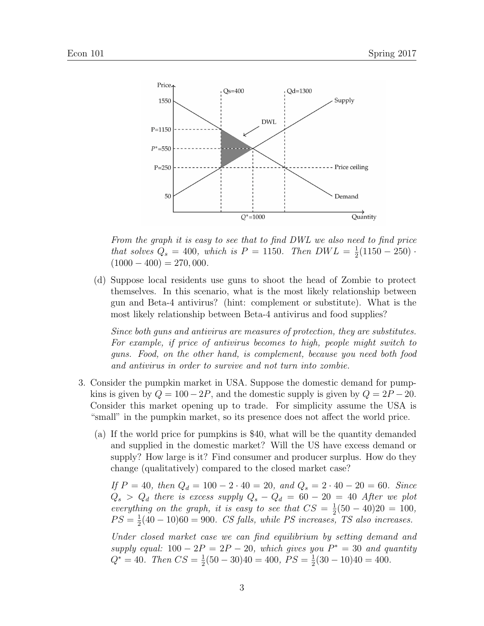

From the graph it is easy to see that to find DWL we also need to find price that solves  $Q_s = 400$ , which is  $P = 1150$ . Then  $DWL = \frac{1}{2}$  $\frac{1}{2}(1150 - 250)$ .  $(1000 - 400) = 270,000.$ 

(d) Suppose local residents use guns to shoot the head of Zombie to protect themselves. In this scenario, what is the most likely relationship between gun and Beta-4 antivirus? (hint: complement or substitute). What is the most likely relationship between Beta-4 antivirus and food supplies?

Since both guns and antivirus are measures of protection, they are substitutes. For example, if price of antivirus becomes to high, people might switch to guns. Food, on the other hand, is complement, because you need both food and antivirus in order to survive and not turn into zombie.

- 3. Consider the pumpkin market in USA. Suppose the domestic demand for pumpkins is given by  $Q = 100 - 2P$ , and the domestic supply is given by  $Q = 2P - 20$ . Consider this market opening up to trade. For simplicity assume the USA is "small" in the pumpkin market, so its presence does not affect the world price.
	- (a) If the world price for pumpkins is \$40, what will be the quantity demanded and supplied in the domestic market? Will the US have excess demand or supply? How large is it? Find consumer and producer surplus. How do they change (qualitatively) compared to the closed market case?

If  $P = 40$ , then  $Q_d = 100 - 2 \cdot 40 = 20$ , and  $Q_s = 2 \cdot 40 - 20 = 60$ . Since  $Q_s > Q_d$  there is excess supply  $Q_s - Q_d = 60 - 20 = 40$  After we plot everything on the graph, it is easy to see that  $CS = \frac{1}{2}$  $\frac{1}{2}(50-40)20 = 100,$  $PS=\frac{1}{2}$  $\frac{1}{2}(40-10)60 = 900$ . CS falls, while PS increases, TS also increases.

Under closed market case we can find equilibrium by setting demand and supply equal:  $100 - 2P = 2P - 20$ , which gives you  $P^* = 30$  and quantity  $Q^* = 40$ . Then  $CS = \frac{1}{2}$  $\frac{1}{2}(50 - 30)40 = 400, PS = \frac{1}{2}$  $\frac{1}{2}(30-10)40=400.$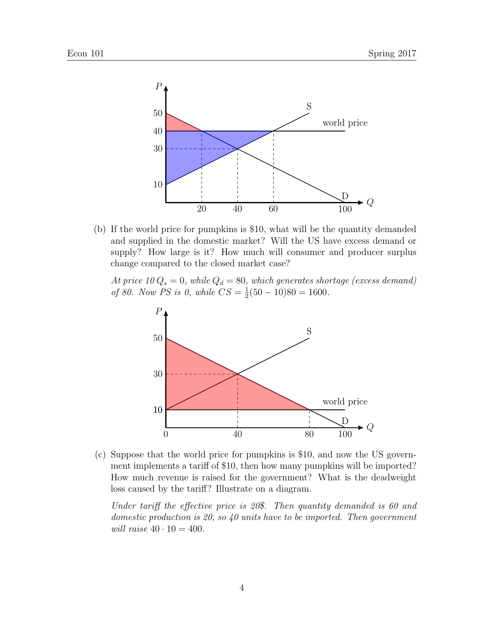

(b) If the world price for pumpkins is \$10, what will be the quantity demanded and supplied in the domestic market? Will the US have excess demand or supply? How large is it? How much will consumer and producer surplus change compared to the closed market case?

At price  $10 Q_s = 0$ , while  $Q_d = 80$ , which generates shortage (excess demand) of 80. Now PS is 0, while  $CS = \frac{1}{2}$  $\frac{1}{2}(50-10)80=1600.$ 



(c) Suppose that the world price for pumpkins is \$10, and now the US government implements a tariff of \$10, then how many pumpkins will be imported? How much revenue is raised for the government? What is the deadweight loss caused by the tariff? Illustrate on a diagram.

Under tariff the effective price is 20\$. Then quantity demanded is 60 and domestic production is 20, so 40 units have to be imported. Then government will raise  $40 \cdot 10 = 400$ .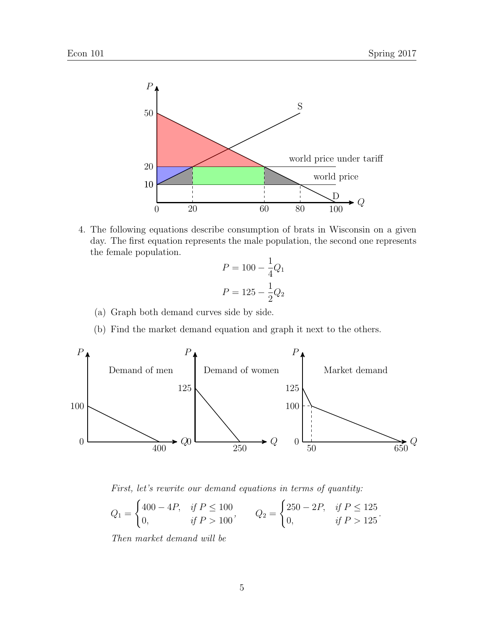

4. The following equations describe consumption of brats in Wisconsin on a given day. The first equation represents the male population, the second one represents the female population.

$$
P = 100 - \frac{1}{4}Q_1
$$

$$
P = 125 - \frac{1}{2}Q_2
$$

- (a) Graph both demand curves side by side.
- (b) Find the market demand equation and graph it next to the others.



First, let's rewrite our demand equations in terms of quantity:

$$
Q_1 = \begin{cases} 400 - 4P, & if P \le 100 \\ 0, & if P > 100 \end{cases}, \qquad Q_2 = \begin{cases} 250 - 2P, & if P \le 125 \\ 0, & if P > 125 \end{cases}.
$$

Then market demand will be